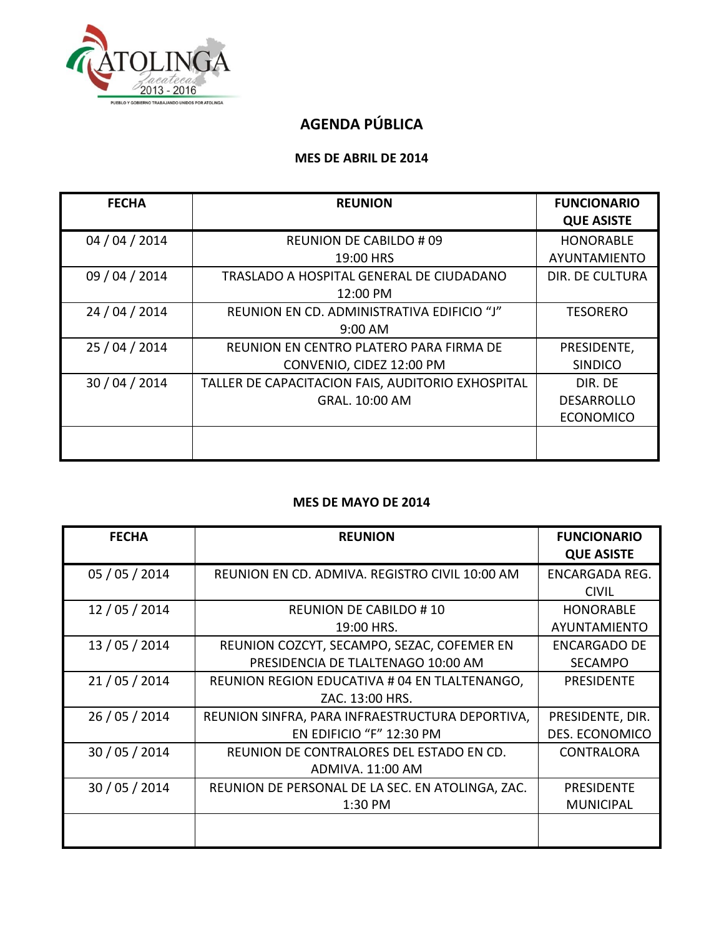

## **AGENDA PÚBLICA**

### **MES DE ABRIL DE 2014**

| <b>FECHA</b>   | <b>REUNION</b>                                    | <b>FUNCIONARIO</b><br><b>QUE ASISTE</b> |
|----------------|---------------------------------------------------|-----------------------------------------|
| 04 / 04 / 2014 | <b>REUNION DE CABILDO # 09</b>                    | <b>HONORABLE</b>                        |
|                | 19:00 HRS                                         | AYUNTAMIENTO                            |
| 09 / 04 / 2014 | TRASLADO A HOSPITAL GENERAL DE CIUDADANO          | DIR. DE CULTURA                         |
|                | 12:00 PM                                          |                                         |
| 24 / 04 / 2014 | REUNION EN CD. ADMINISTRATIVA EDIFICIO "J"        | <b>TESORERO</b>                         |
|                | $9:00$ AM                                         |                                         |
| 25 / 04 / 2014 | REUNION EN CENTRO PLATERO PARA FIRMA DE           | PRESIDENTE,                             |
|                | CONVENIO, CIDEZ 12:00 PM                          | <b>SINDICO</b>                          |
| 30 / 04 / 2014 | TALLER DE CAPACITACION FAIS, AUDITORIO EXHOSPITAL | DIR. DE                                 |
|                | GRAL. 10:00 AM                                    | <b>DESARROLLO</b>                       |
|                |                                                   | <b>ECONOMICO</b>                        |
|                |                                                   |                                         |

#### **MES DE MAYO DE 2014**

| <b>FECHA</b>   | <b>REUNION</b>                                                                   | <b>FUNCIONARIO</b><br><b>QUE ASISTE</b> |
|----------------|----------------------------------------------------------------------------------|-----------------------------------------|
| 05/05/2014     | REUNION EN CD. ADMIVA. REGISTRO CIVIL 10:00 AM                                   | ENCARGADA REG.<br><b>CIVIL</b>          |
| 12 / 05 / 2014 | <b>REUNION DE CABILDO #10</b><br>19:00 HRS.                                      | <b>HONORABLE</b><br>AYUNTAMIENTO        |
| 13 / 05 / 2014 | REUNION COZCYT, SECAMPO, SEZAC, COFEMER EN<br>PRESIDENCIA DE TLALTENAGO 10:00 AM | <b>ENCARGADO DE</b><br><b>SECAMPO</b>   |
| 21 / 05 / 2014 | REUNION REGION EDUCATIVA # 04 EN TLALTENANGO,<br>ZAC. 13:00 HRS.                 | <b>PRESIDENTE</b>                       |
| 26 / 05 / 2014 | REUNION SINFRA, PARA INFRAESTRUCTURA DEPORTIVA,<br>EN EDIFICIO "F" 12:30 PM      | PRESIDENTE, DIR.<br>DES. ECONOMICO      |
| 30 / 05 / 2014 | REUNION DE CONTRALORES DEL ESTADO EN CD.<br>ADMIVA. 11:00 AM                     | <b>CONTRALORA</b>                       |
| 30 / 05 / 2014 | REUNION DE PERSONAL DE LA SEC. EN ATOLINGA, ZAC.<br>1:30 PM                      | <b>PRESIDENTE</b><br><b>MUNICIPAL</b>   |
|                |                                                                                  |                                         |